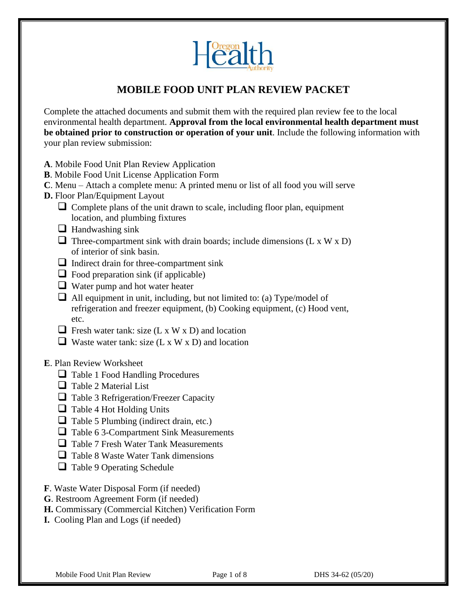

# **MOBILE FOOD UNIT PLAN REVIEW PACKET**

Complete the attached documents and submit them with the required plan review fee to the local environmental health department. **Approval from the local environmental health department must be obtained prior to construction or operation of your unit**. Include the following information with your plan review submission:

- **A**. Mobile Food Unit Plan Review Application
- **B**. Mobile Food Unit License Application Form
- **C**. Menu Attach a complete menu: A printed menu or list of all food you will serve
- **D.** Floor Plan/Equipment Layout
	- $\Box$  Complete plans of the unit drawn to scale, including floor plan, equipment location, and plumbing fixtures
	- ❑ Handwashing sink
	- $\Box$  Three-compartment sink with drain boards; include dimensions (L x W x D) of interior of sink basin.
	- ❑ Indirect drain for three-compartment sink
	- $\Box$  Food preparation sink (if applicable)
	- ❑ Water pump and hot water heater
	- $\Box$  All equipment in unit, including, but not limited to: (a) Type/model of refrigeration and freezer equipment, (b) Cooking equipment, (c) Hood vent, etc.
	- $\Box$  Fresh water tank: size (L x W x D) and location
	- $\Box$  Waste water tank: size (L x W x D) and location
- **E**. Plan Review Worksheet
	- ❑ Table 1 Food Handling Procedures
	- □ Table 2 Material List
	- ❑ Table 3 Refrigeration/Freezer Capacity
	- ❑ Table 4 Hot Holding Units
	- $\Box$  Table 5 Plumbing (indirect drain, etc.)
	- ❑ Table 6 3-Compartment Sink Measurements
	- ❑ Table 7 Fresh Water Tank Measurements
	- ❑ Table 8 Waste Water Tank dimensions
	- ❑ Table 9 Operating Schedule
- **F**. Waste Water Disposal Form (if needed)
- **G**. Restroom Agreement Form (if needed)
- **H.** Commissary (Commercial Kitchen) Verification Form
- **I.** Cooling Plan and Logs (if needed)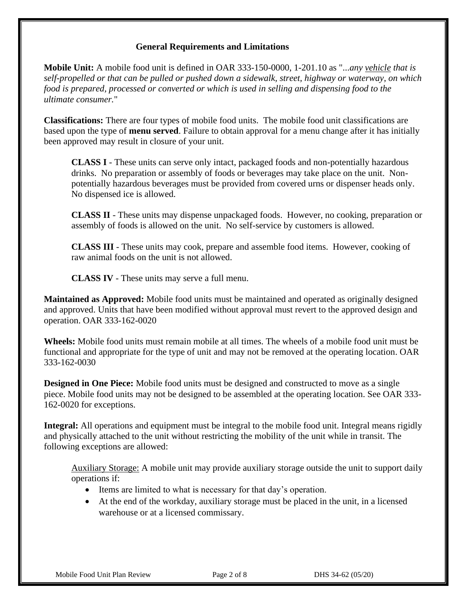### **General Requirements and Limitations**

**Mobile Unit:** A mobile food unit is defined in OAR 333-150-0000, 1-201.10 as "...*any vehicle that is self-propelled or that can be pulled or pushed down a sidewalk, street, highway or waterway, on which food is prepared, processed or converted or which is used in selling and dispensing food to the ultimate consumer.*"

**Classifications:** There are four types of mobile food units. The mobile food unit classifications are based upon the type of **menu served**. Failure to obtain approval for a menu change after it has initially been approved may result in closure of your unit.

**CLASS I** - These units can serve only intact, packaged foods and non-potentially hazardous drinks. No preparation or assembly of foods or beverages may take place on the unit. Nonpotentially hazardous beverages must be provided from covered urns or dispenser heads only. No dispensed ice is allowed.

**CLASS II** - These units may dispense unpackaged foods. However, no cooking, preparation or assembly of foods is allowed on the unit. No self-service by customers is allowed.

**CLASS III** - These units may cook, prepare and assemble food items. However, cooking of raw animal foods on the unit is not allowed.

**CLASS IV** - These units may serve a full menu.

**Maintained as Approved:** Mobile food units must be maintained and operated as originally designed and approved. Units that have been modified without approval must revert to the approved design and operation. OAR 333-162-0020

**Wheels:** Mobile food units must remain mobile at all times. The wheels of a mobile food unit must be functional and appropriate for the type of unit and may not be removed at the operating location. OAR 333-162-0030

**Designed in One Piece:** Mobile food units must be designed and constructed to move as a single piece. Mobile food units may not be designed to be assembled at the operating location. See OAR 333- 162-0020 for exceptions.

**Integral:** All operations and equipment must be integral to the mobile food unit. Integral means rigidly and physically attached to the unit without restricting the mobility of the unit while in transit. The following exceptions are allowed:

Auxiliary Storage: A mobile unit may provide auxiliary storage outside the unit to support daily operations if:

- Items are limited to what is necessary for that day's operation.
- At the end of the workday, auxiliary storage must be placed in the unit, in a licensed warehouse or at a licensed commissary.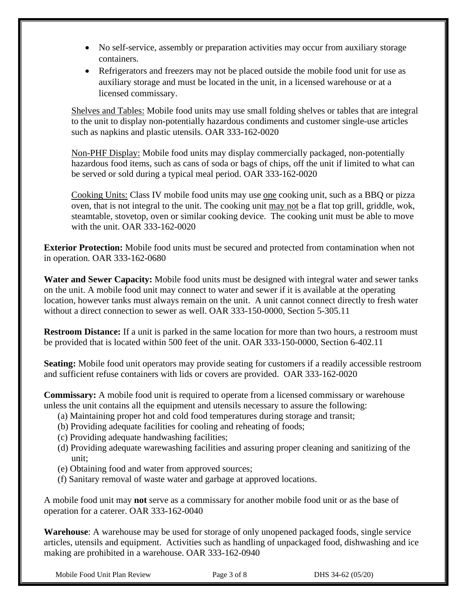- No self-service, assembly or preparation activities may occur from auxiliary storage containers.
- Refrigerators and freezers may not be placed outside the mobile food unit for use as auxiliary storage and must be located in the unit, in a licensed warehouse or at a licensed commissary.

Shelves and Tables: Mobile food units may use small folding shelves or tables that are integral to the unit to display non-potentially hazardous condiments and customer single-use articles such as napkins and plastic utensils. OAR 333-162-0020

Non-PHF Display: Mobile food units may display commercially packaged, non-potentially hazardous food items, such as cans of soda or bags of chips, off the unit if limited to what can be served or sold during a typical meal period. OAR 333-162-0020

Cooking Units: Class IV mobile food units may use one cooking unit, such as a BBQ or pizza oven, that is not integral to the unit. The cooking unit may not be a flat top grill, griddle, wok, steamtable, stovetop, oven or similar cooking device. The cooking unit must be able to move with the unit. OAR 333-162-0020

**Exterior Protection:** Mobile food units must be secured and protected from contamination when not in operation. OAR 333-162-0680

**Water and Sewer Capacity:** Mobile food units must be designed with integral water and sewer tanks on the unit. A mobile food unit may connect to water and sewer if it is available at the operating location, however tanks must always remain on the unit. A unit cannot connect directly to fresh water without a direct connection to sewer as well. OAR 333-150-0000, Section 5-305.11

**Restroom Distance:** If a unit is parked in the same location for more than two hours, a restroom must be provided that is located within 500 feet of the unit. OAR 333-150-0000, Section 6-402.11

**Seating:** Mobile food unit operators may provide seating for customers if a readily accessible restroom and sufficient refuse containers with lids or covers are provided. OAR 333-162-0020

**Commissary:** A mobile food unit is required to operate from a licensed commissary or warehouse unless the unit contains all the equipment and utensils necessary to assure the following:

- (a) Maintaining proper hot and cold food temperatures during storage and transit;
- (b) Providing adequate facilities for cooling and reheating of foods;
- (c) Providing adequate handwashing facilities;
- (d) Providing adequate warewashing facilities and assuring proper cleaning and sanitizing of the unit;
- (e) Obtaining food and water from approved sources;
- (f) Sanitary removal of waste water and garbage at approved locations.

A mobile food unit may **not** serve as a commissary for another mobile food unit or as the base of operation for a caterer. OAR 333-162-0040

**Warehouse**: A warehouse may be used for storage of only unopened packaged foods, single service articles, utensils and equipment. Activities such as handling of unpackaged food, dishwashing and ice making are prohibited in a warehouse. OAR 333-162-0940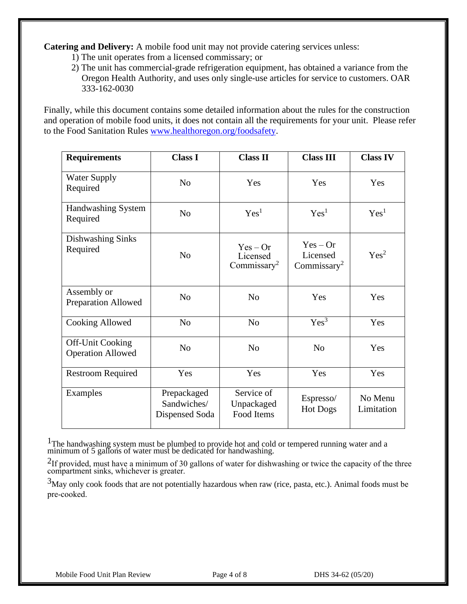**Catering and Delivery:** A mobile food unit may not provide catering services unless:

- 1) The unit operates from a licensed commissary; or
- 2) The unit has commercial-grade refrigeration equipment, has obtained a variance from the Oregon Health Authority, and uses only single-use articles for service to customers. OAR 333-162-0030

Finally, while this document contains some detailed information about the rules for the construction and operation of mobile food units, it does not contain all the requirements for your unit. Please refer to the Food Sanitation Rules [www.healthoregon.org/foodsafety.](http://www.healthoregon.org/foodsafety)

| <b>Requirements</b>                                 | <b>Class I</b>                               | <b>Class II</b>                                   | <b>Class III</b>                                  | <b>Class IV</b>       |
|-----------------------------------------------------|----------------------------------------------|---------------------------------------------------|---------------------------------------------------|-----------------------|
| <b>Water Supply</b><br>Required                     | N <sub>o</sub>                               | Yes                                               | Yes                                               | Yes                   |
| Handwashing System<br>Required                      | N <sub>o</sub>                               | Yes <sup>1</sup>                                  | Yes <sup>1</sup>                                  | Yes <sup>1</sup>      |
| Dishwashing Sinks<br>Required                       | N <sub>o</sub>                               | $Yes - Or$<br>Licensed<br>Commissary <sup>2</sup> | $Yes - Or$<br>Licensed<br>Commissary <sup>2</sup> | Yes <sup>2</sup>      |
| Assembly or<br><b>Preparation Allowed</b>           | No                                           | N <sub>0</sub>                                    | Yes                                               | Yes                   |
| Cooking Allowed                                     | N <sub>0</sub>                               | N <sub>0</sub>                                    | Yes <sup>3</sup>                                  | Yes                   |
| <b>Off-Unit Cooking</b><br><b>Operation Allowed</b> | N <sub>o</sub>                               | N <sub>0</sub>                                    | N <sub>0</sub>                                    | Yes                   |
| <b>Restroom Required</b>                            | Yes                                          | Yes                                               | Yes                                               | Yes                   |
| Examples                                            | Prepackaged<br>Sandwiches/<br>Dispensed Soda | Service of<br>Unpackaged<br>Food Items            | Espresso/<br><b>Hot Dogs</b>                      | No Menu<br>Limitation |

 $1$ The handwashing system must be plumbed to provide hot and cold or tempered running water and a minimum of 5 gallons of water must be dedicated for handwashing.

<sup>2</sup>If provided, must have a minimum of 30 gallons of water for dishwashing or twice the capacity of the three compartment sinks, whichever is greater.

3May only cook foods that are not potentially hazardous when raw (rice, pasta, etc.). Animal foods must be pre-cooked.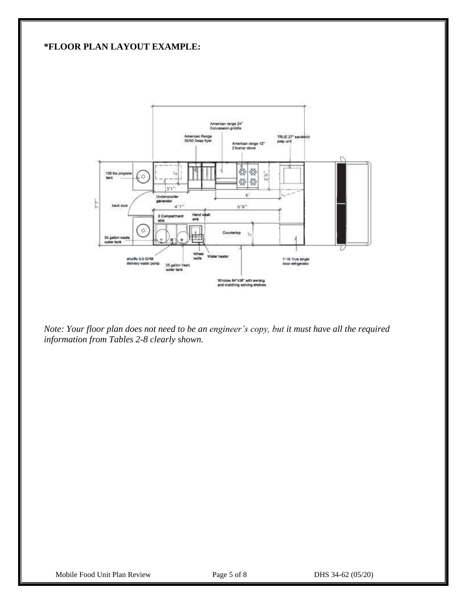### **\*FLOOR PLAN LAYOUT EXAMPLE:**



*Note: Your floor plan does not need to be an engineer's copy, but it must have all the required information from Tables 2-8 clearly shown.*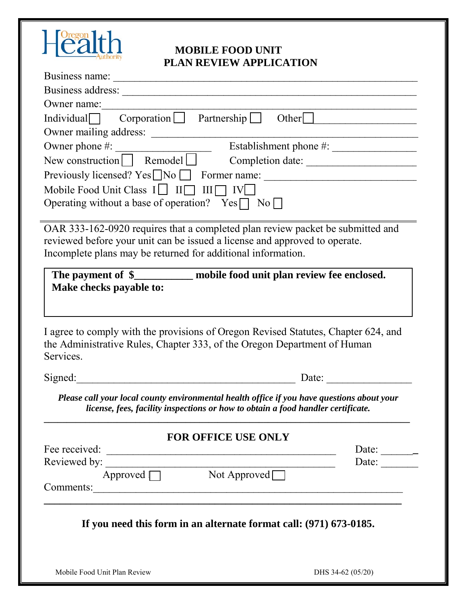

## **MOBILE FOOD UNIT PLAN REVIEW APPLICATION**

| LLAR NEVIEW ALL LICATION                                                                        |                              |
|-------------------------------------------------------------------------------------------------|------------------------------|
|                                                                                                 |                              |
|                                                                                                 |                              |
| Owner name:                                                                                     |                              |
| Individual $\Box$ Corporation $\Box$ Partnership $\Box$                                         | Other $\vert$                |
| Owner mailing address:                                                                          |                              |
|                                                                                                 |                              |
| New construction $\boxed{\phantom{\qquad}}$ Remodel $\boxed{\phantom{\qquad}}$ Completion date: |                              |
|                                                                                                 |                              |
| Mobile Food Unit Class $I \Box \quad II \Box \quad III \Box \quad IV \Box$                      |                              |
| Operating without a base of operation? Yes $\Box$ No $\Box$                                     |                              |
|                                                                                                 |                              |
| OAR 333-162-0920 requires that a completed plan review packet be submitted and                  |                              |
| reviewed before your unit can be issued a license and approved to operate.                      |                              |
| Incomplete plans may be returned for additional information.                                    |                              |
|                                                                                                 |                              |
|                                                                                                 |                              |
| The payment of \$____________ mobile food unit plan review fee enclosed.                        |                              |
| Make checks payable to:                                                                         |                              |
|                                                                                                 |                              |
|                                                                                                 |                              |
| I agree to comply with the provisions of Oregon Revised Statutes, Chapter 624, and              |                              |
|                                                                                                 |                              |
|                                                                                                 |                              |
| Services.                                                                                       | Date:                        |
| the Administrative Rules, Chapter 333, of the Oregon Department of Human<br>Signed:             |                              |
| Please call your local county environmental health office if you have questions about your      |                              |
| license, fees, facility inspections or how to obtain a food handler certificate.                |                              |
|                                                                                                 |                              |
| <b>FOR OFFICE USE ONLY</b>                                                                      |                              |
|                                                                                                 | Date: ________               |
|                                                                                                 | Date: $\qquad \qquad \qquad$ |
| Fee received:<br>Reviewed by:<br>Approved Not Approved<br>Comments:                             |                              |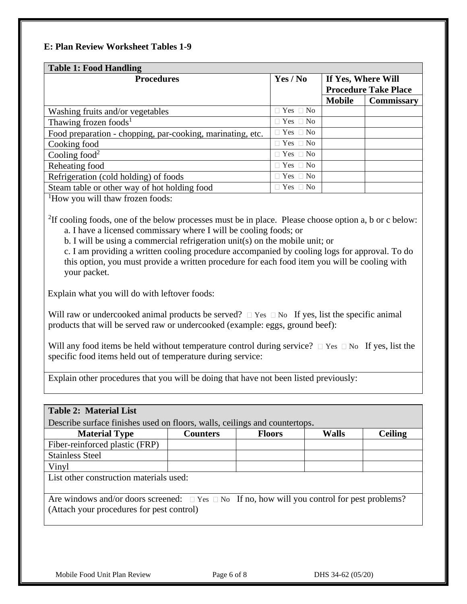### **E: Plan Review Worksheet Tables 1-9**

| <b>Table 1: Food Handling</b>                              |                      |                             |                   |  |  |
|------------------------------------------------------------|----------------------|-----------------------------|-------------------|--|--|
| <b>Procedures</b>                                          | Yes / No             | If Yes, Where Will          |                   |  |  |
|                                                            |                      | <b>Procedure Take Place</b> |                   |  |  |
|                                                            |                      | <b>Mobile</b>               | <b>Commissary</b> |  |  |
| Washing fruits and/or vegetables                           | $\Box$ Yes $\Box$ No |                             |                   |  |  |
| Thawing frozen foods <sup>1</sup>                          | $\Box$ Yes $\Box$ No |                             |                   |  |  |
| Food preparation - chopping, par-cooking, marinating, etc. | $\Box$ Yes $\Box$ No |                             |                   |  |  |
| Cooking food                                               | $\Box$ Yes $\Box$ No |                             |                   |  |  |
| Cooling food <sup>2</sup>                                  | $\Box$ Yes $\Box$ No |                             |                   |  |  |
| Reheating food                                             | $\Box$ Yes $\Box$ No |                             |                   |  |  |
| Refrigeration (cold holding) of foods                      | $\Box$ Yes $\Box$ No |                             |                   |  |  |
| Steam table or other way of hot holding food               | $\Box$ Yes $\Box$ No |                             |                   |  |  |

<sup>1</sup>How you will thaw frozen foods:

<sup>2</sup>If cooling foods, one of the below processes must be in place. Please choose option a, b or c below: a. I have a licensed commissary where I will be cooling foods; or

b. I will be using a commercial refrigeration unit(s) on the mobile unit; or

c. I am providing a written cooling procedure accompanied by cooling logs for approval. To do this option, you must provide a written procedure for each food item you will be cooling with your packet.

Explain what you will do with leftover foods:

Will raw or undercooked animal products be served?  $\Box$  Yes  $\Box$  No If yes, list the specific animal products that will be served raw or undercooked (example: eggs, ground beef):

Will any food items be held without temperature control during service?  $\Box$  Yes  $\Box$  No If yes, list the specific food items held out of temperature during service:

Explain other procedures that you will be doing that have not been listed previously:

| <b>Table 2: Material List</b>                                                                                                                             |                 |               |              |                |  |
|-----------------------------------------------------------------------------------------------------------------------------------------------------------|-----------------|---------------|--------------|----------------|--|
| Describe surface finishes used on floors, walls, ceilings and countertops.                                                                                |                 |               |              |                |  |
| <b>Material Type</b>                                                                                                                                      | <b>Counters</b> | <b>Floors</b> | <b>Walls</b> | <b>Ceiling</b> |  |
| Fiber-reinforced plastic (FRP)                                                                                                                            |                 |               |              |                |  |
| <b>Stainless Steel</b>                                                                                                                                    |                 |               |              |                |  |
| Vinyl                                                                                                                                                     |                 |               |              |                |  |
| List other construction materials used:                                                                                                                   |                 |               |              |                |  |
| Are windows and/or doors screened: $\square$ Yes $\square$ No If no, how will you control for pest problems?<br>(Attach your procedures for pest control) |                 |               |              |                |  |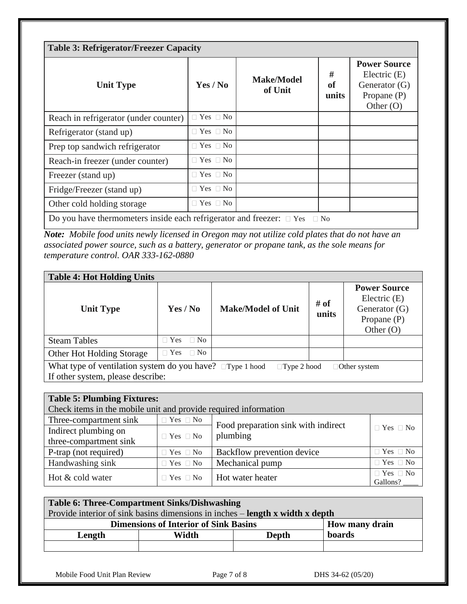| <b>Table 3: Refrigerator/Freezer Capacity</b>                                       |                      |                              |                         |                                                                                        |  |  |
|-------------------------------------------------------------------------------------|----------------------|------------------------------|-------------------------|----------------------------------------------------------------------------------------|--|--|
| <b>Unit Type</b>                                                                    | Yes / No             | <b>Make/Model</b><br>of Unit | #<br><b>of</b><br>units | <b>Power Source</b><br>Electric $(E)$<br>Generator (G)<br>Propane $(P)$<br>Other $(O)$ |  |  |
| Reach in refrigerator (under counter)                                               | $\Box$ Yes $\Box$ No |                              |                         |                                                                                        |  |  |
| Refrigerator (stand up)                                                             | $\Box$ Yes $\Box$ No |                              |                         |                                                                                        |  |  |
| Prep top sandwich refrigerator                                                      | $\Box$ Yes $\Box$ No |                              |                         |                                                                                        |  |  |
| Reach-in freezer (under counter)                                                    | $\Box$ Yes $\Box$ No |                              |                         |                                                                                        |  |  |
| Freezer (stand up)                                                                  | $\Box$ Yes $\Box$ No |                              |                         |                                                                                        |  |  |
| Fridge/Freezer (stand up)                                                           | $\Box$ Yes $\Box$ No |                              |                         |                                                                                        |  |  |
| Other cold holding storage                                                          | $\Box$ Yes $\Box$ No |                              |                         |                                                                                        |  |  |
| Do you have thermometers inside each refrigerator and freezer: $\Box$ Yes $\Box$ No |                      |                              |                         |                                                                                        |  |  |

*Note: Mobile food units newly licensed in Oregon may not utilize cold plates that do not have an associated power source, such as a battery, generator or propane tank, as the sole means for temperature control. OAR 333-162-0880*

| <b>Table 4: Hot Holding Units</b>                                                                                                                 |                            |                           |               |                                                                                          |  |  |
|---------------------------------------------------------------------------------------------------------------------------------------------------|----------------------------|---------------------------|---------------|------------------------------------------------------------------------------------------|--|--|
| <b>Unit Type</b>                                                                                                                                  | Yes / No                   | <b>Make/Model of Unit</b> | # of<br>units | <b>Power Source</b><br>Electric $(E)$<br>Generator $(G)$<br>Propane $(P)$<br>Other $(O)$ |  |  |
| <b>Steam Tables</b>                                                                                                                               | $\Box$ No<br>$\exists$ Yes |                           |               |                                                                                          |  |  |
| Other Hot Holding Storage                                                                                                                         | $\Box$ No<br>$\Box$ Yes    |                           |               |                                                                                          |  |  |
| What type of ventilation system do you have? $\Box$ Type 1 hood<br>$\Box$ Type 2 hood<br>$\Box$ Other system<br>If other system, please describe: |                            |                           |               |                                                                                          |  |  |

| <b>Table 5: Plumbing Fixtures:</b>                                                                  |                                                                 |                                     |  |  |  |
|-----------------------------------------------------------------------------------------------------|-----------------------------------------------------------------|-------------------------------------|--|--|--|
|                                                                                                     | Check items in the mobile unit and provide required information |                                     |  |  |  |
| Three-compartment sink                                                                              | $\Box$ Yes $\Box$ No                                            |                                     |  |  |  |
| Indirect plumbing on                                                                                |                                                                 | Food preparation sink with indirect |  |  |  |
| three-compartment sink                                                                              | plumbing<br>$\Box$ Yes $\Box$ No                                |                                     |  |  |  |
| $\Box$ Yes $\Box$ No<br>Backflow prevention device<br>P-trap (not required)<br>$\Box$ Yes $\Box$ No |                                                                 |                                     |  |  |  |
| Handwashing sink                                                                                    | $\Box$ Yes $\Box$ No<br>Mechanical pump<br>$\Box$ Yes $\Box$ No |                                     |  |  |  |
| $\Box$ Yes $\Box$ No<br>Hot & cold water<br>Hot water heater<br>$\Box$ Yes $\Box$ No                |                                                                 |                                     |  |  |  |
| Gallons?                                                                                            |                                                                 |                                     |  |  |  |

| Table 6: Three-Compartment Sinks/Dishwashing                                         |        |  |  |  |
|--------------------------------------------------------------------------------------|--------|--|--|--|
| Provide interior of sink basins dimensions in inches – <b>length x width x depth</b> |        |  |  |  |
| <b>Dimensions of Interior of Sink Basins</b><br><b>How many drain</b>                |        |  |  |  |
| Length                                                                               | boards |  |  |  |
|                                                                                      |        |  |  |  |

Mobile Food Unit Plan Review Page 7 of 8 DHS 34-62 (05/20)